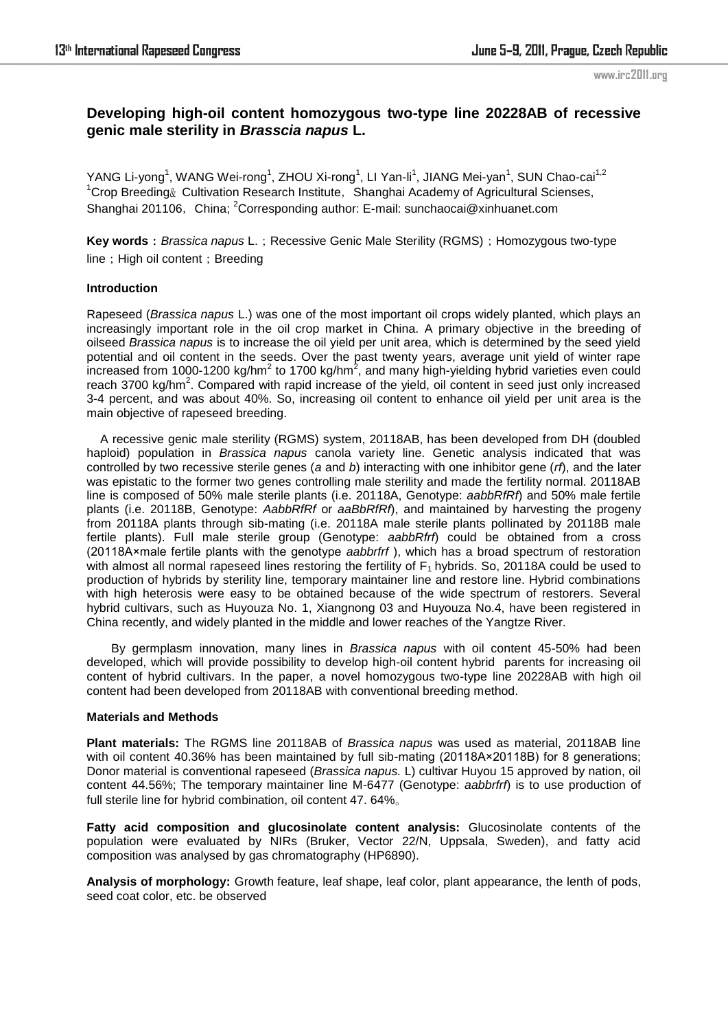# **Developing high-oil content homozygous two-type line 20228AB of recessive genic male sterility in** *Brasscia napus* **L.**

YANG Li-yong<sup>1</sup>, WANG Wei-rong<sup>1</sup>, ZHOU Xi-rong<sup>1</sup>, LI Yan-li<sup>1</sup>, JIANG Mei-yan<sup>1</sup>, SUN Chao-cai<sup>1,2</sup>  $1$ Crop Breeding $\&$  Cultivation Research Institute, Shanghai Academy of Agricultural Scienses, Shanghai 201106, China; <sup>2</sup>Corresponding author: E-mail: sunchaocai@xinhuanet.com

**Key words**: *Brassica napus* L.; Recessive Genic Male Sterility (RGMS); Homozygous two-type line; High oil content; Breeding

## **Introduction**

Rapeseed (*Brassica napus* L.) was one of the most important oil crops widely planted, which plays an increasingly important role in the oil crop market in China. A primary objective in the breeding of oilseed *Brassica napus* is to increase the oil yield per unit area, which is determined by the seed yield potential and oil content in the seeds. Over the past twenty years, average unit yield of winter rape increased from 1000-1200 kg/hm<sup>2</sup> to 1700 kg/hm<sup>2</sup>, and many high-yielding hybrid varieties even could reach 3700 kg/hm<sup>2</sup>. Compared with rapid increase of the yield, oil content in seed just only increased 3-4 percent, and was about 40%. So, increasing oil content to enhance oil yield per unit area is the main objective of rapeseed breeding.

 A recessive genic male sterility (RGMS) system, 20118AB, has been developed from DH (doubled haploid) population in *Brassica napus* canola variety line. Genetic analysis indicated that was controlled by two recessive sterile genes (*a* and *b*) interacting with one inhibitor gene (*rf*), and the later was epistatic to the former two genes controlling male sterility and made the fertility normal. 20118AB line is composed of 50% male sterile plants (i.e. 20118A, Genotype: *aabbRfRf*) and 50% male fertile plants (i.e. 20118B, Genotype: *AabbRfRf* or *aaBbRfRf*), and maintained by harvesting the progeny from 20118A plants through sib-mating (i.e. 20118A male sterile plants pollinated by 20118B male fertile plants). Full male sterile group (Genotype: *aabbRfrf*) could be obtained from a cross (20118A×male fertile plants with the genotype *aabbrfrf* ), which has a broad spectrum of restoration with almost all normal rapeseed lines restoring the fertility of  $F_1$  hybrids. So, 20118A could be used to production of hybrids by sterility line, temporary maintainer line and restore line. Hybrid combinations with high heterosis were easy to be obtained because of the wide spectrum of restorers. Several hybrid cultivars, such as Huyouza No. 1, Xiangnong 03 and Huyouza No.4, have been registered in China recently, and widely planted in the middle and lower reaches of the Yangtze River.

By germplasm innovation, many lines in *Brassica napus* with oil content 45-50% had been developed, which will provide possibility to develop high-oil content hybrid parents for increasing oil content of hybrid cultivars. In the paper, a novel homozygous two-type line 20228AB with high oil content had been developed from 20118AB with conventional breeding method.

## **Materials and Methods**

**Plant materials:** The RGMS line 20118AB of *Brassica napus* was used as material, 20118AB line with oil content 40.36% has been maintained by full sib-mating (20118A×20118B) for 8 generations; Donor material is conventional rapeseed (*Brassica napus.* L) cultivar Huyou 15 approved by nation, oil content 44.56%; The temporary maintainer line M-6477 (Genotype: *aabbrfrf*) is to use production of full sterile line for hybrid combination, oil content 47. 64%。

**Fatty acid composition and glucosinolate content analysis:** Glucosinolate contents of the population were evaluated by NIRs (Bruker, Vector 22/N, Uppsala, Sweden), and fatty acid composition was analysed by gas chromatography (HP6890).

**Analysis of morphology:** Growth feature, leaf shape, leaf color, plant appearance, the lenth of pods, seed coat color, etc. be observed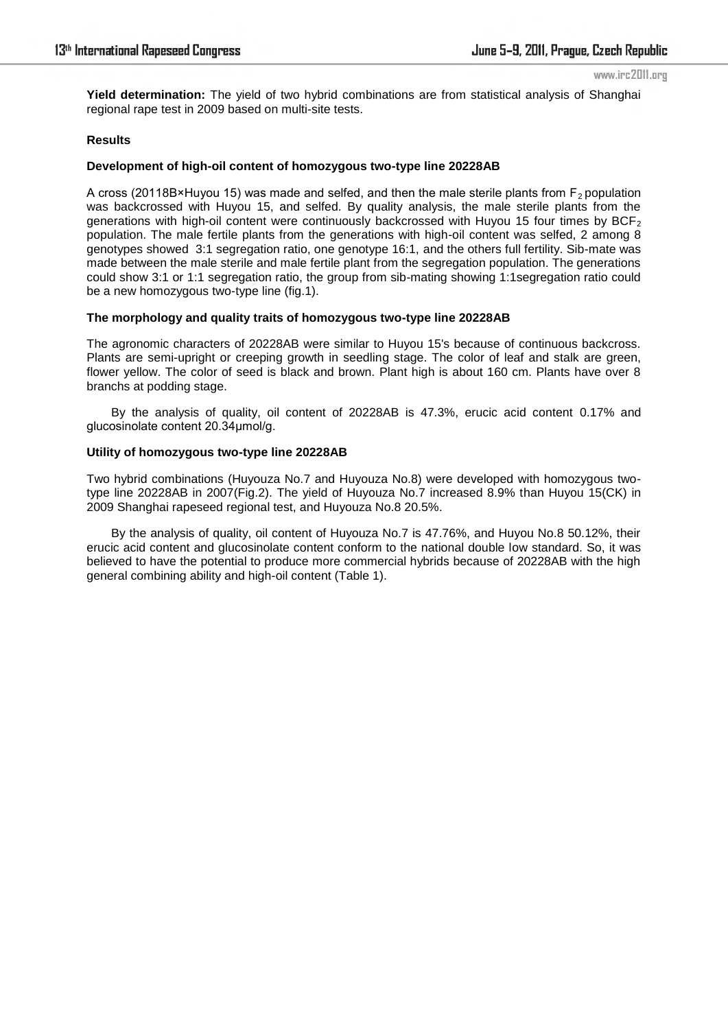**Yield determination:** The yield of two hybrid combinations are from statistical analysis of Shanghai regional rape test in 2009 based on multi-site tests.

## **Results**

### **Development of high-oil content of homozygous two-type line 20228AB**

A cross (20118B×Huyou 15) was made and selfed, and then the male sterile plants from  $F<sub>2</sub>$  population was backcrossed with Huyou 15, and selfed. By quality analysis, the male sterile plants from the generations with high-oil content were continuously backcrossed with Huyou 15 four times by BCF<sub>2</sub> population. The male fertile plants from the generations with high-oil content was selfed, 2 among 8 genotypes showed 3:1 segregation ratio, one genotype 16:1, and the others full fertility. Sib-mate was made between the male sterile and male fertile plant from the segregation population. The generations could show 3:1 or 1:1 segregation ratio, the group from sib-mating showing 1:1segregation ratio could be a new homozygous two-type line (fig.1).

#### **The morphology and quality traits of homozygous two-type line 20228AB**

The agronomic characters of 20228AB were similar to Huyou 15's because of continuous backcross. Plants are semi-upright or creeping growth in seedling stage. The color of leaf and stalk are green, flower yellow. The color of seed is black and brown. Plant high is about 160 cm. Plants have over 8 branchs at podding stage.

By the analysis of quality, oil content of 20228AB is 47.3%, erucic acid content 0.17% and glucosinolate content 20.34µmol/g.

### **Utility of homozygous two-type line 20228AB**

Two hybrid combinations (Huyouza No.7 and Huyouza No.8) were developed with homozygous twotype line 20228AB in 2007(Fig.2). The yield of Huyouza No.7 increased 8.9% than Huyou 15(CK) in 2009 Shanghai rapeseed regional test, and Huyouza No.8 20.5%.

By the analysis of quality, oil content of Huyouza No.7 is 47.76%, and Huyou No.8 50.12%, their erucic acid content and glucosinolate content conform to the national double low standard. So, it was believed to have the potential to produce more commercial hybrids because of 20228AB with the high general combining ability and high-oil content (Table 1).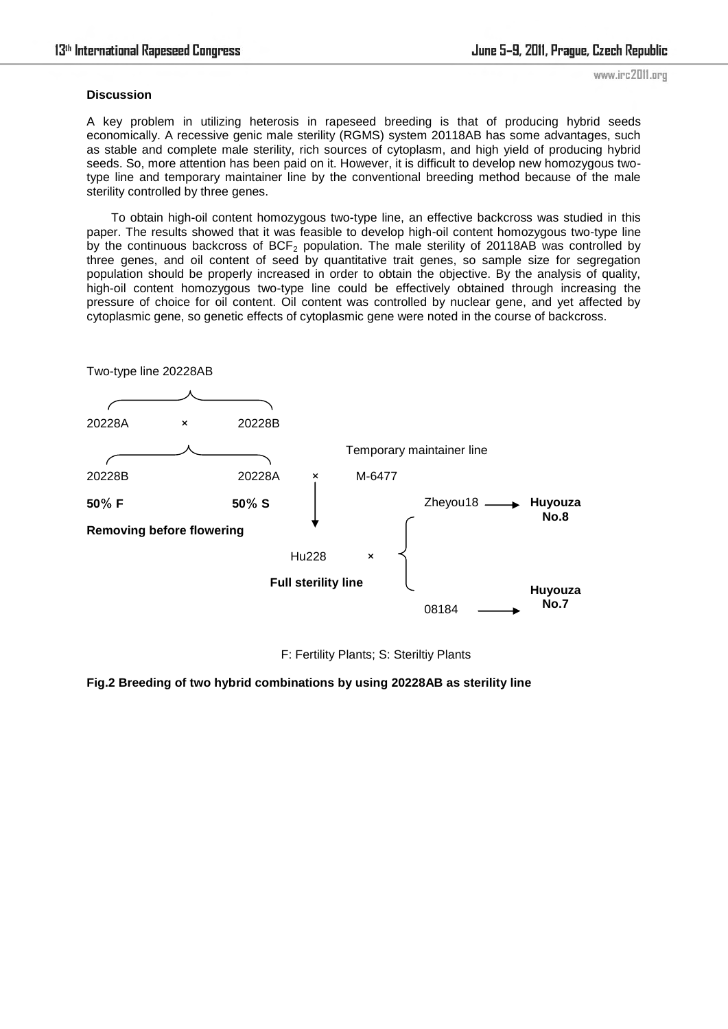## **Discussion**

A key problem in utilizing heterosis in rapeseed breeding is that of producing hybrid seeds economically. A recessive genic male sterility (RGMS) system 20118AB has some advantages, such as stable and complete male sterility, rich sources of cytoplasm, and high yield of producing hybrid seeds. So, more attention has been paid on it. However, it is difficult to develop new homozygous twotype line and temporary maintainer line by the conventional breeding method because of the male sterility controlled by three genes.

To obtain high-oil content homozygous two-type line, an effective backcross was studied in this paper. The results showed that it was feasible to develop high-oil content homozygous two-type line by the continuous backcross of  $BCF<sub>2</sub>$  population. The male sterility of 20118AB was controlled by three genes, and oil content of seed by quantitative trait genes, so sample size for segregation population should be properly increased in order to obtain the objective. By the analysis of quality, high-oil content homozygous two-type line could be effectively obtained through increasing the pressure of choice for oil content. Oil content was controlled by nuclear gene, and yet affected by cytoplasmic gene, so genetic effects of cytoplasmic gene were noted in the course of backcross.



F: Fertility Plants; S: Steriltiy Plants

**Fig.2 Breeding of two hybrid combinations by using 20228AB as sterility line**